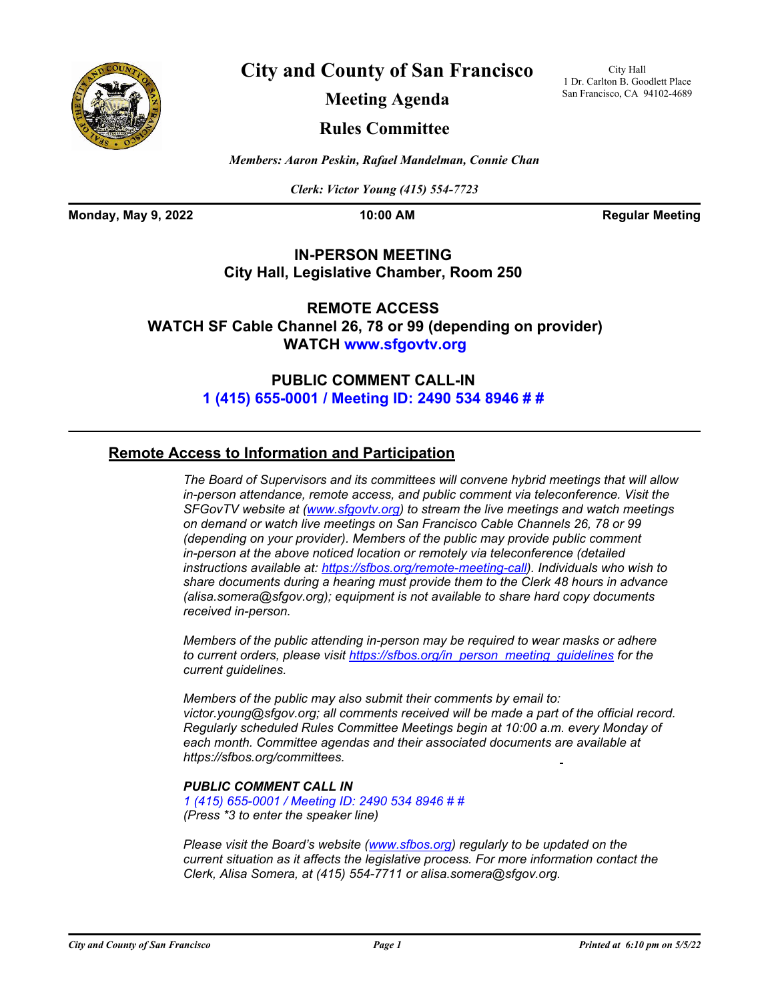

**City and County of San Francisco**

City Hall 1 Dr. Carlton B. Goodlett Place San Francisco, CA 94102-4689

**Meeting Agenda**

## **Rules Committee**

*Members: Aaron Peskin, Rafael Mandelman, Connie Chan*

*Clerk: Victor Young (415) 554-7723*

**Monday, May 9, 2022 10:00 AM Regular Meeting** 

### **IN-PERSON MEETING City Hall, Legislative Chamber, Room 250**

**REMOTE ACCESS WATCH SF Cable Channel 26, 78 or 99 (depending on provider) WATCH<www.sfgovtv.org>**

> **PUBLIC COMMENT CALL-IN [1 \(415\) 655-0001 / Meeting ID: 2490 534 8946 # #](tel:+14156550001,,24905348946#,,#)**

### **Remote Access to Information and Participation**

*The Board of Supervisors and its committees will convene hybrid meetings that will allow in-person attendance, remote access, and public comment via teleconference. Visit the SFGovTV website at [\(www.sfgovtv.org\)](www.sfgovtv.org) to stream the live meetings and watch meetings on demand or watch live meetings on San Francisco Cable Channels 26, 78 or 99 (depending on your provider). Members of the public may provide public comment in-person at the above noticed location or remotely via teleconference (detailed instructions available at: [https://sfbos.org/remote-meeting-call\).](https://sfbos.org/remote-meeting-call) Individuals who wish to share documents during a hearing must provide them to the Clerk 48 hours in advance (alisa.somera@sfgov.org); equipment is not available to share hard copy documents received in-person.*

*Members of the public attending in-person may be required to wear masks or adhere to current orders, please visit [https://sfbos.org/in\\_person\\_meeting\\_guidelines f](https://sfbos.org/in_person_meeting_guidelines)or the current guidelines.*

*Members of the public may also submit their comments by email to: victor.young@sfgov.org; all comments received will be made a part of the official record. Regularly scheduled Rules Committee Meetings begin at 10:00 a.m. every Monday of each month. Committee agendas and [their associated documents ar](tel:+14156550001,,24905348946#,,#https://sfbos.org/comittees)e available at https://sfbos.org/committees.*

### *PUBLIC COMMENT CALL IN*

*[1 \(415\) 655-0001 / Meeting ID: 2490 534 8946 # #](tel:+14156550001,,24905348946#,,#) (Press \*3 to enter the speaker line)*

*Please visit the Board's website [\(www.sfbos.org\)](www.sfbos.org) regularly to be updated on the current situation as it affects the legislative process. For more information contact the Clerk, Alisa Somera, at (415) 554-7711 or alisa.somera@sfgov.org.*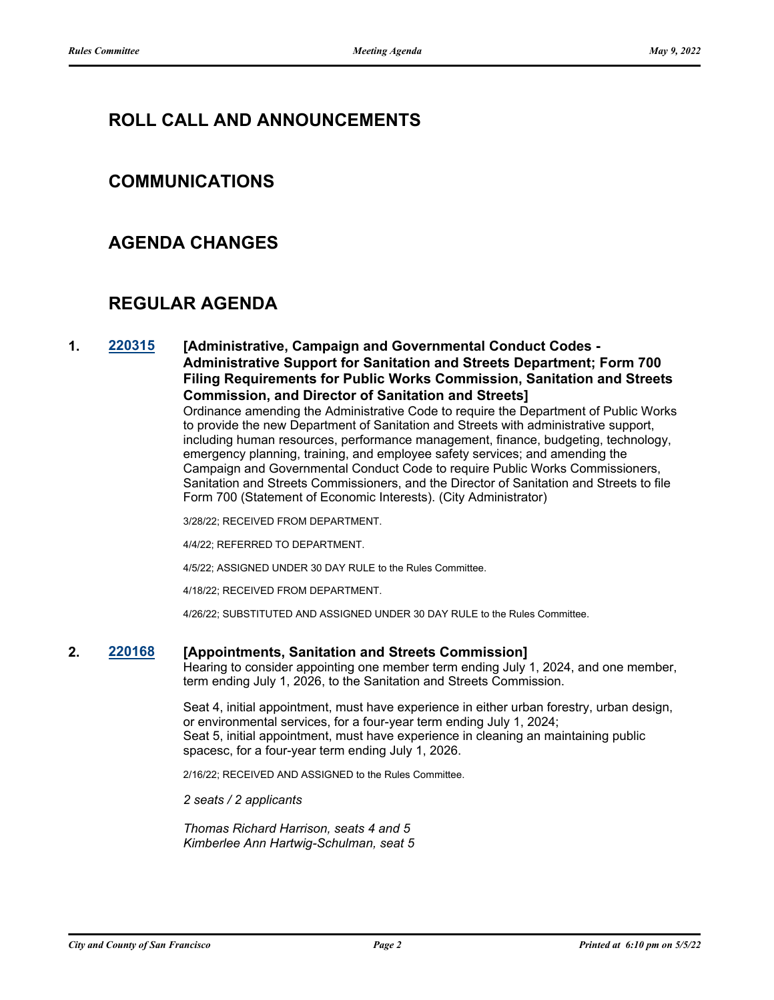# **ROLL CALL AND ANNOUNCEMENTS**

# **COMMUNICATIONS**

# **AGENDA CHANGES**

# **REGULAR AGENDA**

### **1. [220315](http://sfgov.legistar.com/gateway.aspx?m=l&id=38507) [Administrative, Campaign and Governmental Conduct Codes - Administrative Support for Sanitation and Streets Department; Form 700 Filing Requirements for Public Works Commission, Sanitation and Streets Commission, and Director of Sanitation and Streets]**

Ordinance amending the Administrative Code to require the Department of Public Works to provide the new Department of Sanitation and Streets with administrative support, including human resources, performance management, finance, budgeting, technology, emergency planning, training, and employee safety services; and amending the Campaign and Governmental Conduct Code to require Public Works Commissioners, Sanitation and Streets Commissioners, and the Director of Sanitation and Streets to file Form 700 (Statement of Economic Interests). (City Administrator)

3/28/22; RECEIVED FROM DEPARTMENT.

4/4/22; REFERRED TO DEPARTMENT.

4/5/22; ASSIGNED UNDER 30 DAY RULE to the Rules Committee.

4/18/22; RECEIVED FROM DEPARTMENT.

4/26/22; SUBSTITUTED AND ASSIGNED UNDER 30 DAY RULE to the Rules Committee.

#### **2. [220168](http://sfgov.legistar.com/gateway.aspx?m=l&id=38363) [Appointments, Sanitation and Streets Commission]**

Hearing to consider appointing one member term ending July 1, 2024, and one member, term ending July 1, 2026, to the Sanitation and Streets Commission.

Seat 4, initial appointment, must have experience in either urban forestry, urban design, or environmental services, for a four-year term ending July 1, 2024; Seat 5, initial appointment, must have experience in cleaning an maintaining public spacesc, for a four-year term ending July 1, 2026.

2/16/22; RECEIVED AND ASSIGNED to the Rules Committee.

*2 seats / 2 applicants*

*Thomas Richard Harrison, seats 4 and 5 Kimberlee Ann Hartwig-Schulman, seat 5*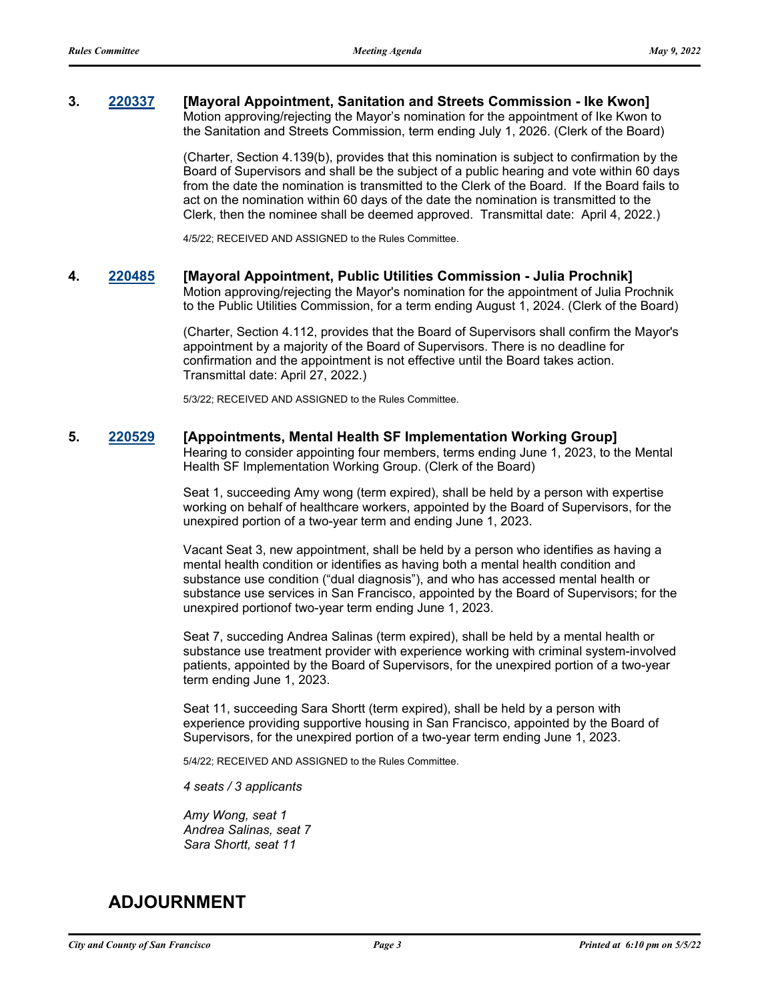#### **3. [220337](http://sfgov.legistar.com/gateway.aspx?m=l&id=38529) [Mayoral Appointment, Sanitation and Streets Commission - Ike Kwon]** Motion approving/rejecting the Mayor's nomination for the appointment of Ike Kwon to the Sanitation and Streets Commission, term ending July 1, 2026. (Clerk of the Board)

(Charter, Section 4.139(b), provides that this nomination is subject to confirmation by the Board of Supervisors and shall be the subject of a public hearing and vote within 60 days from the date the nomination is transmitted to the Clerk of the Board. If the Board fails to act on the nomination within 60 days of the date the nomination is transmitted to the Clerk, then the nominee shall be deemed approved. Transmittal date: April 4, 2022.)

4/5/22; RECEIVED AND ASSIGNED to the Rules Committee.

### **4. [220485](http://sfgov.legistar.com/gateway.aspx?m=l&id=38677) [Mayoral Appointment, Public Utilities Commission - Julia Prochnik]**

Motion approving/rejecting the Mayor's nomination for the appointment of Julia Prochnik to the Public Utilities Commission, for a term ending August 1, 2024. (Clerk of the Board)

(Charter, Section 4.112, provides that the Board of Supervisors shall confirm the Mayor's appointment by a majority of the Board of Supervisors. There is no deadline for confirmation and the appointment is not effective until the Board takes action. Transmittal date: April 27, 2022.)

5/3/22; RECEIVED AND ASSIGNED to the Rules Committee.

#### **5. [220529](http://sfgov.legistar.com/gateway.aspx?m=l&id=38721) [Appointments, Mental Health SF Implementation Working Group]**

Hearing to consider appointing four members, terms ending June 1, 2023, to the Mental Health SF Implementation Working Group. (Clerk of the Board)

Seat 1, succeeding Amy wong (term expired), shall be held by a person with expertise working on behalf of healthcare workers, appointed by the Board of Supervisors, for the unexpired portion of a two-year term and ending June 1, 2023.

Vacant Seat 3, new appointment, shall be held by a person who identifies as having a mental health condition or identifies as having both a mental health condition and substance use condition ("dual diagnosis"), and who has accessed mental health or substance use services in San Francisco, appointed by the Board of Supervisors; for the unexpired portionof two-year term ending June 1, 2023.

Seat 7, succeding Andrea Salinas (term expired), shall be held by a mental health or substance use treatment provider with experience working with criminal system-involved patients, appointed by the Board of Supervisors, for the unexpired portion of a two-year term ending June 1, 2023.

Seat 11, succeeding Sara Shortt (term expired), shall be held by a person with experience providing supportive housing in San Francisco, appointed by the Board of Supervisors, for the unexpired portion of a two-year term ending June 1, 2023.

5/4/22; RECEIVED AND ASSIGNED to the Rules Committee.

*4 seats / 3 applicants*

*Amy Wong, seat 1 Andrea Salinas, seat 7 Sara Shortt, seat 11*

## **ADJOURNMENT**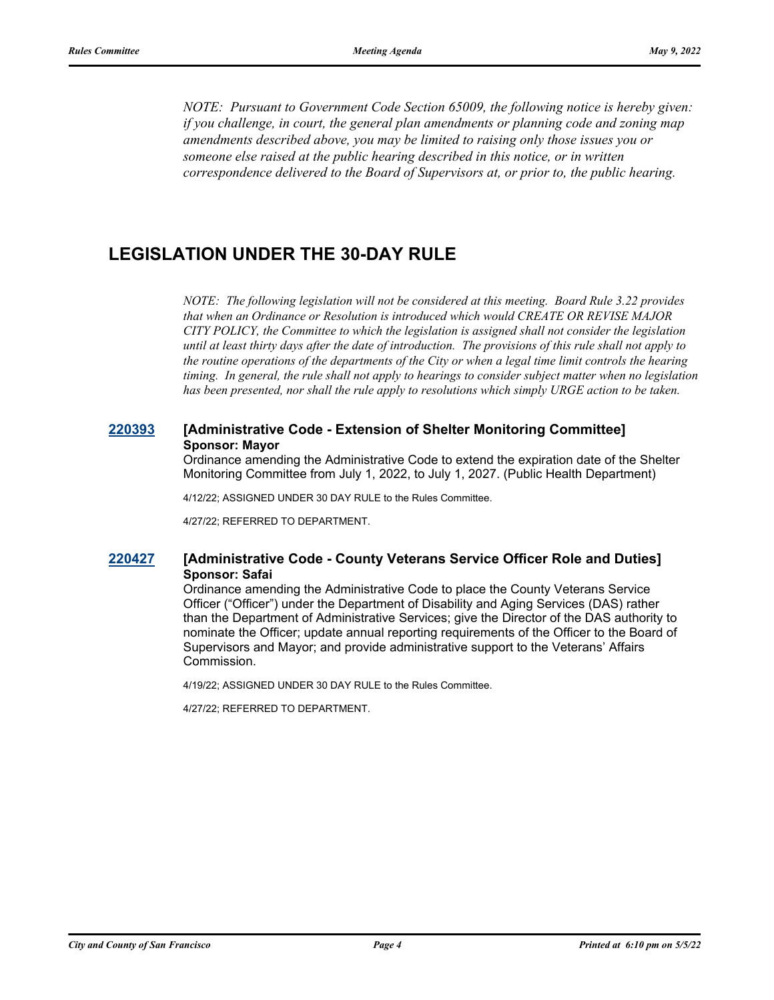*NOTE: Pursuant to Government Code Section 65009, the following notice is hereby given: if you challenge, in court, the general plan amendments or planning code and zoning map amendments described above, you may be limited to raising only those issues you or someone else raised at the public hearing described in this notice, or in written correspondence delivered to the Board of Supervisors at, or prior to, the public hearing.*

## **LEGISLATION UNDER THE 30-DAY RULE**

*NOTE: The following legislation will not be considered at this meeting. Board Rule 3.22 provides that when an Ordinance or Resolution is introduced which would CREATE OR REVISE MAJOR CITY POLICY, the Committee to which the legislation is assigned shall not consider the legislation until at least thirty days after the date of introduction. The provisions of this rule shall not apply to the routine operations of the departments of the City or when a legal time limit controls the hearing timing. In general, the rule shall not apply to hearings to consider subject matter when no legislation has been presented, nor shall the rule apply to resolutions which simply URGE action to be taken.*

### **[220393](http://sfgov.legistar.com/gateway.aspx?m=l&id=38585) [Administrative Code - Extension of Shelter Monitoring Committee] Sponsor: Mayor**

Ordinance amending the Administrative Code to extend the expiration date of the Shelter Monitoring Committee from July 1, 2022, to July 1, 2027. (Public Health Department)

4/12/22; ASSIGNED UNDER 30 DAY RULE to the Rules Committee.

4/27/22; REFERRED TO DEPARTMENT.

#### **[220427](http://sfgov.legistar.com/gateway.aspx?m=l&id=38619) [Administrative Code - County Veterans Service Officer Role and Duties] Sponsor: Safai**

Ordinance amending the Administrative Code to place the County Veterans Service Officer ("Officer") under the Department of Disability and Aging Services (DAS) rather than the Department of Administrative Services; give the Director of the DAS authority to nominate the Officer; update annual reporting requirements of the Officer to the Board of Supervisors and Mayor; and provide administrative support to the Veterans' Affairs Commission.

4/19/22; ASSIGNED UNDER 30 DAY RULE to the Rules Committee.

4/27/22; REFERRED TO DEPARTMENT.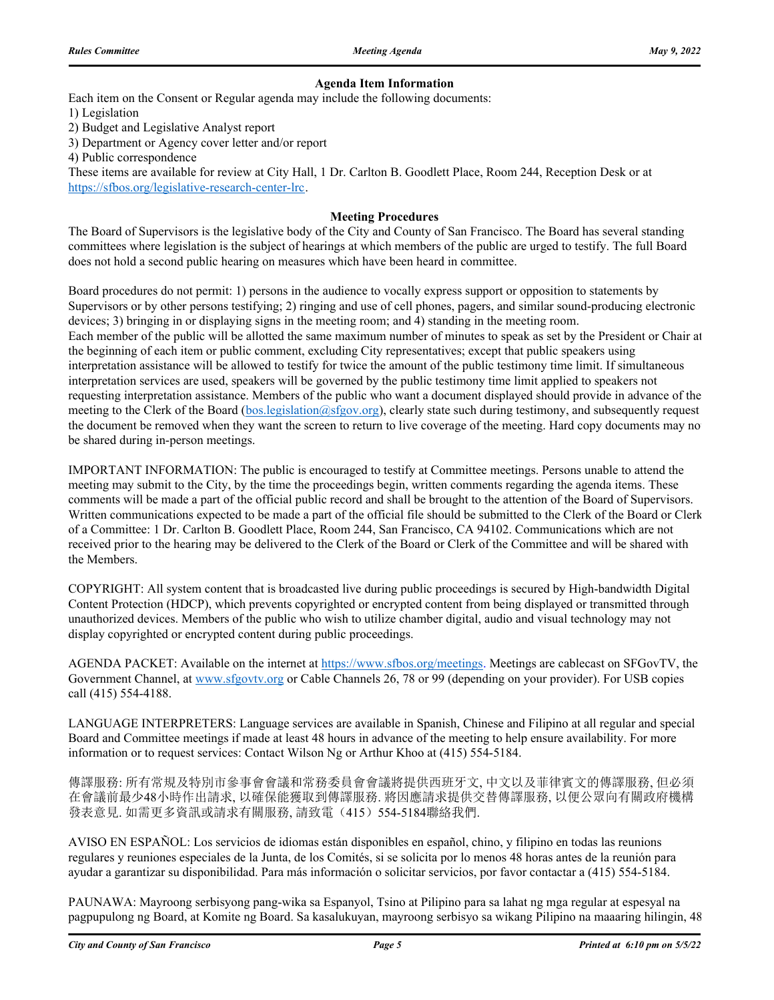#### **Agenda Item Information**

Each item on the Consent or Regular agenda may include the following documents:

1) Legislation

2) Budget and Legislative Analyst report

3) Department or Agency cover letter and/or report

4) Public correspondence

These items are available for review at City Hall, 1 Dr. Carlton B. Goodlett Place, Room 244, Reception Desk or at https://sfbos.org/legislative-research-center-lrc.

#### **Meeting Procedures**

The Board of Supervisors is the legislative body of the City and County of San Francisco. The Board has several standing committees where legislation is the subject of hearings at which members of the public are urged to testify. The full Board does not hold a second public hearing on measures which have been heard in committee.

Board procedures do not permit: 1) persons in the audience to vocally express support or opposition to statements by Supervisors or by other persons testifying; 2) ringing and use of cell phones, pagers, and similar sound-producing electronic devices; 3) bringing in or displaying signs in the meeting room; and 4) standing in the meeting room. Each member of the public will be allotted the same maximum number of minutes to speak as set by the President or Chair at the beginning of each item or public comment, excluding City representatives; except that public speakers using interpretation assistance will be allowed to testify for twice the amount of the public testimony time limit. If simultaneous interpretation services are used, speakers will be governed by the public testimony time limit applied to speakers not requesting interpretation assistance. Members of the public who want a document displayed should provide in advance of the meeting to the Clerk of the Board (bos.legislation@sfgov.org), clearly state such during testimony, and subsequently request the document be removed when they want the screen to return to live coverage of the meeting. Hard copy documents may no be shared during in-person meetings.

IMPORTANT INFORMATION: The public is encouraged to testify at Committee meetings. Persons unable to attend the meeting may submit to the City, by the time the proceedings begin, written comments regarding the agenda items. These comments will be made a part of the official public record and shall be brought to the attention of the Board of Supervisors. Written communications expected to be made a part of the official file should be submitted to the Clerk of the Board or Clerk of a Committee: 1 Dr. Carlton B. Goodlett Place, Room 244, San Francisco, CA 94102. Communications which are not received prior to the hearing may be delivered to the Clerk of the Board or Clerk of the Committee and will be shared with the Members.

COPYRIGHT: All system content that is broadcasted live during public proceedings is secured by High-bandwidth Digital Content Protection (HDCP), which prevents copyrighted or encrypted content from being displayed or transmitted through unauthorized devices. Members of the public who wish to utilize chamber digital, audio and visual technology may not display copyrighted or encrypted content during public proceedings.

AGENDA PACKET: Available on the internet at https://www.sfbos.org/meetings. Meetings are cablecast on SFGovTV, the Government Channel, at www.sfgovtv.org or Cable Channels 26, 78 or 99 (depending on your provider). For USB copies call (415) 554-4188.

LANGUAGE INTERPRETERS: Language services are available in Spanish, Chinese and Filipino at all regular and special Board and Committee meetings if made at least 48 hours in advance of the meeting to help ensure availability. For more information or to request services: Contact Wilson Ng or Arthur Khoo at (415) 554-5184.

傳譯服務: 所有常規及特別市參事會會議和常務委員會會議將提供西班牙文, 中文以及菲律賓文的傳譯服務, 但必須 在會議前最少48小時作出請求, 以確保能獲取到傳譯服務. 將因應請求提供交替傳譯服務, 以便公眾向有關政府機構 發表意見. 如需更多資訊或請求有關服務, 請致電(415)554-5184聯絡我們.

AVISO EN ESPAÑOL: Los servicios de idiomas están disponibles en español, chino, y filipino en todas las reunions regulares y reuniones especiales de la Junta, de los Comités, si se solicita por lo menos 48 horas antes de la reunión para ayudar a garantizar su disponibilidad. Para más información o solicitar servicios, por favor contactar a (415) 554-5184.

PAUNAWA: Mayroong serbisyong pang-wika sa Espanyol, Tsino at Pilipino para sa lahat ng mga regular at espesyal na pagpupulong ng Board, at Komite ng Board. Sa kasalukuyan, mayroong serbisyo sa wikang Pilipino na maaaring hilingin, 48